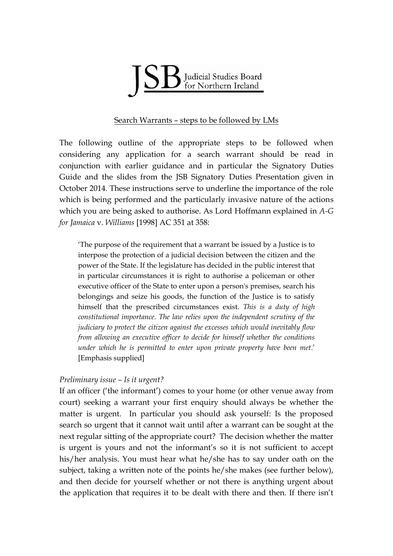

## Search Warrants – steps to be followed by LMs

The following outline of the appropriate steps to be followed when considering any application for a search warrant should be read in conjunction with earlier guidance and in particular the Signatory Duties Guide and the slides from the JSB Signatory Duties Presentation given in October 2014. These instructions serve to underline the importance of the role which is being performed and the particularly invasive nature of the actions which you are being asked to authorise. As Lord Hoffmann explained in *A-G for Jamaica* v. *Williams* [1998] AC 351 at 358:

'The purpose of the requirement that a warrant be issued by a Justice is to interpose the protection of a judicial decision between the citizen and the power of the State. If the legislature has decided in the public interest that in particular circumstances it is right to authorise a policeman or other executive officer of the State to enter upon a person's premises, search his belongings and seize his goods, the function of the Justice is to satisfy himself that the prescribed circumstances exist. *This is a duty of high constitutional importance. The law relies upon the independent scrutiny of the judiciary to protect the citizen against the excesses which would inevitably flow from allowing an executive officer to decide for himself whether the conditions under which he is permitted to enter upon private property have been met*.' [Emphasis supplied]

# *Preliminary issue – Is it urgent?*

If an officer ('the informant') comes to your home (or other venue away from court) seeking a warrant your first enquiry should always be whether the matter is urgent. In particular you should ask yourself: Is the proposed search so urgent that it cannot wait until after a warrant can be sought at the next regular sitting of the appropriate court? The decision whether the matter is urgent is yours and not the informant's so it is not sufficient to accept his/her analysis. You must hear what he/she has to say under oath on the subject, taking a written note of the points he/she makes (see further below), and then decide for yourself whether or not there is anything urgent about the application that requires it to be dealt with there and then. If there isn't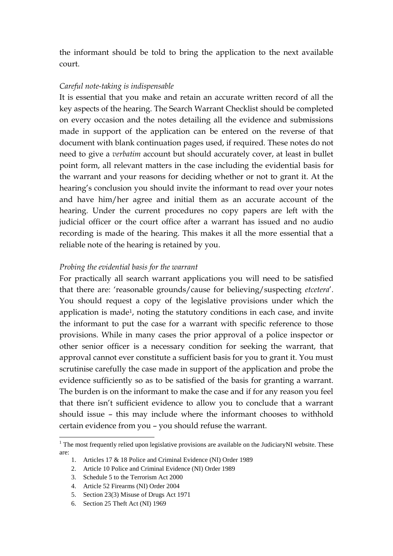the informant should be told to bring the application to the next available court.

## *Careful note-taking is indispensable*

It is essential that you make and retain an accurate written record of all the key aspects of the hearing. The Search Warrant Checklist should be completed on every occasion and the notes detailing all the evidence and submissions made in support of the application can be entered on the reverse of that document with blank continuation pages used, if required. These notes do not need to give a *verbatim* account but should accurately cover, at least in bullet point form, all relevant matters in the case including the evidential basis for the warrant and your reasons for deciding whether or not to grant it. At the hearing's conclusion you should invite the informant to read over your notes and have him/her agree and initial them as an accurate account of the hearing. Under the current procedures no copy papers are left with the judicial officer or the court office after a warrant has issued and no audio recording is made of the hearing. This makes it all the more essential that a reliable note of the hearing is retained by you.

## *Probing the evidential basis for the warrant*

For practically all search warrant applications you will need to be satisfied that there are: 'reasonable grounds/cause for believing/suspecting *etcetera*'. You should request a copy of the legislative provisions under which the application is made<sup>1</sup>, noting the statutory conditions in each case, and invite the informant to put the case for a warrant with specific reference to those provisions. While in many cases the prior approval of a police inspector or other senior officer is a necessary condition for seeking the warrant, that approval cannot ever constitute a sufficient basis for you to grant it. You must scrutinise carefully the case made in support of the application and probe the evidence sufficiently so as to be satisfied of the basis for granting a warrant. The burden is on the informant to make the case and if for any reason you feel that there isn't sufficient evidence to allow you to conclude that a warrant should issue – this may include where the informant chooses to withhold certain evidence from you – you should refuse the warrant.

1

<sup>&</sup>lt;sup>1</sup> The most frequently relied upon legislative provisions are available on the JudiciaryNI website. These are:

<sup>1.</sup> Articles 17 & 18 Police and Criminal Evidence (NI) Order 1989

<sup>2.</sup> Article 10 Police and Criminal Evidence (NI) Order 1989

<sup>3.</sup> Schedule 5 to the Terrorism Act 2000

<sup>4.</sup> Article 52 Firearms (NI) Order 2004

<sup>5.</sup> Section 23(3) Misuse of Drugs Act 1971

<sup>6.</sup> Section 25 Theft Act (NI) 1969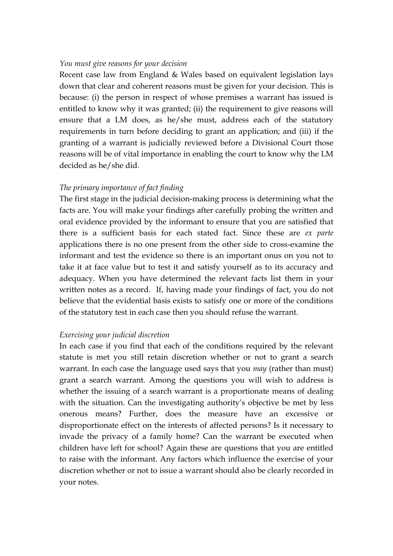#### *You must give reasons for your decision*

Recent case law from England & Wales based on equivalent legislation lays down that clear and coherent reasons must be given for your decision. This is because: (i) the person in respect of whose premises a warrant has issued is entitled to know why it was granted; (ii) the requirement to give reasons will ensure that a LM does, as he/she must, address each of the statutory requirements in turn before deciding to grant an application; and (iii) if the granting of a warrant is judicially reviewed before a Divisional Court those reasons will be of vital importance in enabling the court to know why the LM decided as he/she did.

### *The primary importance of fact finding*

The first stage in the judicial decision-making process is determining what the facts are. You will make your findings after carefully probing the written and oral evidence provided by the informant to ensure that you are satisfied that there is a sufficient basis for each stated fact. Since these are *ex parte* applications there is no one present from the other side to cross-examine the informant and test the evidence so there is an important onus on you not to take it at face value but to test it and satisfy yourself as to its accuracy and adequacy. When you have determined the relevant facts list them in your written notes as a record. If, having made your findings of fact, you do not believe that the evidential basis exists to satisfy one or more of the conditions of the statutory test in each case then you should refuse the warrant.

### *Exercising your judicial discretion*

In each case if you find that each of the conditions required by the relevant statute is met you still retain discretion whether or not to grant a search warrant. In each case the language used says that you *may* (rather than must) grant a search warrant. Among the questions you will wish to address is whether the issuing of a search warrant is a proportionate means of dealing with the situation. Can the investigating authority's objective be met by less onerous means? Further, does the measure have an excessive or disproportionate effect on the interests of affected persons? Is it necessary to invade the privacy of a family home? Can the warrant be executed when children have left for school? Again these are questions that you are entitled to raise with the informant. Any factors which influence the exercise of your discretion whether or not to issue a warrant should also be clearly recorded in your notes.